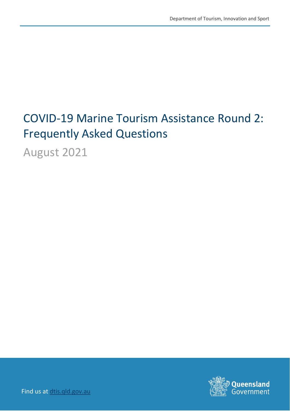# COVID-19 Marine Tourism Assistance Round 2: Frequently Asked Questions

August 2021



Find us at [dtis.qld.gov.au](http://www.ditid.qld.gov.au/)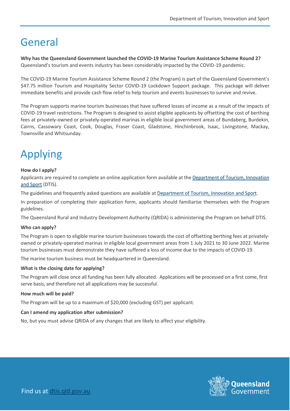### General

**Why has the Queensland Government launched the COVID-19 Marine Tourism Assistance Scheme Round 2?** Queensland's tourism and events industry has been considerably impacted by the COVID-19 pandemic.

The COVID-19 Marine Tourism Assistance Scheme Round 2 (the Program) is part of the Queensland Government's \$47.75 million Tourism and Hospitality Sector COVID-19 Lockdown Support package. This package will deliver immediate benefits and provide cash flow relief to help tourism and events businesses to survive and revive.

The Program supports marine tourism businesses that have suffered losses of income as a result of the impacts of COVID-19 travel restrictions. The Program is designed to assist eligible applicants by offsetting the cost of berthing fees at privately-owned or privately-operated marinas in eligible local government areas of Bundaberg, Burdekin, Cairns, Cassowary Coast, Cook, Douglas, Fraser Coast, Gladstone, Hinchinbrook, Isaac, Livingstone, Mackay, Townsville and Whitsunday.

## Applying

#### **How do I apply?**

Applicants are required to complete an online application form available at th[e Department of Tourism, Innovation](https://www.dtis.qld.gov.au/our-work/covid-19-marine-tourism-rebate)  [and Sport](https://www.dtis.qld.gov.au/our-work/covid-19-marine-tourism-rebate) (DTIS).

The guidelines and frequently asked questions are available at **Department of Tourism, Innovation and Sport**.

In preparation of completing their application form, applicants should familiarise themselves with the Program guidelines.

The Queensland Rural and Industry Development Authority (QRIDA) is administering the Program on behalf DTIS.

#### **Who can apply?**

The Program is open to eligible marine tourism businesses towards the cost of offsetting berthing fees at privatelyowned or privately-operated marinas in eligible local government areas from 1 July 2021 to 30 June 2022. Marine tourism businesses must demonstrate they have suffered a loss of income due to the impacts of COVID-19.

The marine tourism business must be headquartered in Queensland.

#### **What is the closing date for applying?**

The Program will close once all funding has been fully allocated. Applications will be processed on a first come, first serve basis, and therefore not all applications may be successful.

#### **How much will be paid?**

The Program will be up to a maximum of \$20,000 (excluding GST) per applicant.

#### **Can I amend my application after submission?**

No, but you must advise QRIDA of any changes that are likely to affect your eligibility.

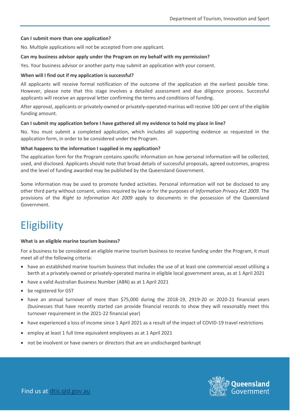#### **Can I submit more than one application?**

No. Multiple applications will not be accepted from one applicant.

#### **Can my business advisor apply under the Program on my behalf with my permission?**

Yes. Your business advisor or another party may submit an application with your consent.

#### **When will I find out if my application is successful?**

All applicants will receive formal notification of the outcome of the application at the earliest possible time. However, please note that this stage involves a detailed assessment and due diligence process. Successful applicants will receive an approval letter confirming the terms and conditions of funding.

After approval, applicants or privately-owned or privately-operated marinas will receive 100 per cent of the eligible funding amount.

#### **Can I submit my application before I have gathered all my evidence to hold my place in line?**

No. You must submit a completed application, which includes all supporting evidence as requested in the application form, in order to be considered under the Program.

#### **What happens to the information I supplied in my application?**

The application form for the Program contains specific information on how personal information will be collected, used, and disclosed. Applicants should note that broad details of successful proposals, agreed outcomes, progress and the level of funding awarded may be published by the Queensland Government.

Some information may be used to promote funded activities. Personal information will not be disclosed to any other third party without consent, unless required by law or for the purposes of *Information Privacy Act 2009*. The provisions of the *Right to Information Act 2009* apply to documents in the possession of the Queensland Government.

### **Eligibility**

#### **What is an eligible marine tourism business?**

For a business to be considered an eligible marine tourism business to receive funding under the Program, it must meet all of the following criteria:

- have an established marine tourism business that includes the use of at least one commercial vessel utilising a berth at a privately-owned or privately-operated marina in eligible local government areas, as at 1 April 2021
- have a valid Australian Business Number (ABN) as at 1 April 2021
- be registered for GST
- have an annual turnover of more than \$75,000 during the 2018-19, 2919-20 or 2020-21 financial years (businesses that have recently started can provide financial records to show they will reasonably meet this turnover requirement in the 2021-22 financial year)
- have experienced a loss of income since 1 April 2021 as a result of the impact of COVID-19 travel restrictions
- employ at least 1 full time equivalent employees as at 1 April 2021
- not be insolvent or have owners or directors that are an undischarged bankrupt

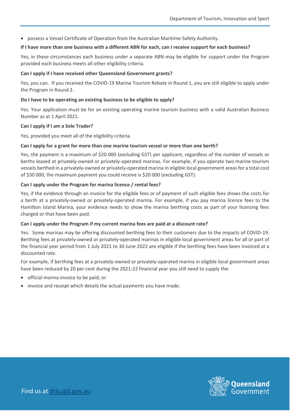• possess a Vessel Certificate of Operation from the Australian Maritime Safety Authority.

#### **If I have more than one business with a different ABN for each, can I receive support for each business?**

Yes, in these circumstances each business under a separate ABN may be eligible for support under the Program provided each business meets all other eligibility criteria.

#### **Can I apply if I have received other Queensland Government grants?**

Yes, you can. If you received the COVID-19 Marine Tourism Rebate in Round 1, you are still eligible to apply under the Program in Round 2.

#### **Do I have to be operating an existing business to be eligible to apply?**

Yes. Your application must be for an existing operating marine tourism business with a valid Australian Business Number as at 1 April 2021.

#### **Can I apply if I am a Sole Trader?**

Yes, provided you meet all of the eligibility criteria.

#### **Can I apply for a grant for more than one marine tourism vessel or more than one berth?**

Yes, the payment is a maximum of \$20 000 (excluding GST) per applicant, regardless of the number of vessels or berths leased at privately-owned or privately-operated marinas. For example, if you operate two marine tourism vessels berthed in a privately-owned or privately-operated marina in eligible local government areas for a total cost of \$30 000, the maximum payment you could receive is \$20 000 (excluding GST).

#### **Can I apply under the Program for marina licence / rental fees?**

Yes, if the evidence through an invoice for the eligible fees or of payment of such eligible fees shows the costs for a berth at a privately-owned or privately-operated marina. For example, if you pay marina licence fees to the Hamilton Island Marina, your evidence needs to show the marina berthing costs as part of your licensing fees charged or that have been paid.

#### **Can I apply under the Program if my current marina fees are paid at a discount rate?**

Yes. Some marinas may be offering discounted berthing fees to their customers due to the impacts of COVID-19. Berthing fees at privately-owned or privately-operated marinas in eligible local government areas for all or part of the financial year period from 1 July 2021 to 30 June 2022 are eligible if the berthing fees have been invoiced at a discounted rate.

For example, if berthing fees at a privately-owned or privately-operated marina in eligible local government areas have been reduced by 20 per cent during the 2021-22 financial year you still need to supply the:

- official marina invoice to be paid; or
- invoice and receipt which details the actual payments you have made.

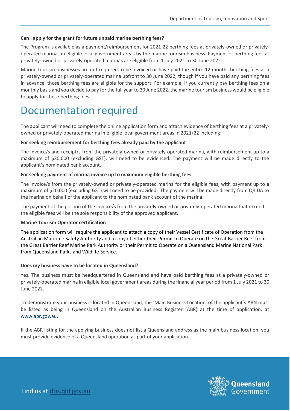#### **Can I apply for the grant for future unpaid marine berthing fees?**

The Program is available as a payment/reimbursement for 2021-22 berthing fees at privately-owned or privatelyoperated marinas in eligible local government areas by the marine tourism business. Payment of berthing fees at privately-owned or privately-operated marinas are eligible from 1 July 2021 to 30 June 2022.

Marine tourism businesses are not required to be invoiced or have paid the entire 12 months berthing fees at a privately-owned or privately-operated marina upfront to 30 June 2022, though if you have paid any berthing fees in advance, those berthing fees are eligible for the support. For example, if you currently pay berthing fees on a monthly basis and you decide to pay for the full year to 30 June 2022, the marine tourism business would be eligible to apply for these berthing fees.

### Documentation required

The applicant will need to complete the online application form and attach evidence of berthing fees at a privatelyowned or privately-operated marina in eligible local government areas in 2021/22 including:

#### **For seeking reimbursement for berthing fees already paid by the applicant**

The invoice/s and receipt/s from the privately-owned or privately-operated marina, with reimbursement up to a maximum of \$20,000 (excluding GST), will need to be evidenced. The payment will be made directly to the applicant's nominated bank account.

#### **For seeking payment of marina invoice up to maximum eligible berthing fees**

The invoice/s from the privately-owned or privately-operated marina for the eligible fees, with payment up to a maximum of \$20,000 (excluding GST) will need to be provided. The payment will be made directly from QRIDA to the marina on behalf of the applicant to the nominated bank account of the marina.

The payment of the portion of the invoice/s from the privately-owned or privately-operated marina that exceed the eligible fees will be the sole responsibility of the approved applicant.

#### **Marine Tourism Operator certification**

The application form will require the applicant to attach a copy of their Vessel Certificate of Operation from the Australian Maritime Safety Authority and a copy of either their Permit to Operate on the Great Barrier Reef from the Great Barrier Reef Marine Park Authority or their Permit to Operate on a Queensland Marine National Park from Queensland Parks and Wildlife Service.

#### **Does my business have to be located in Queensland?**

Yes. The business must be headquartered in Queensland and have paid berthing fees at a privately-owned or privately-operated marina in eligible local government areas during the financial year period from 1 July 2021 to 30 June 2022.

To demonstrate your business is located in Queensland, the 'Main Business Location' of the applicant's ABN must be listed as being in Queensland on the Australian Business Register (ABR) at the time of application, at [www.abr.gov.au.](http://www.abr.gov.au/)

If the ABR listing for the applying business does not list a Queensland address as the main business location, you must provide evidence of a Queensland operation as part of your application.

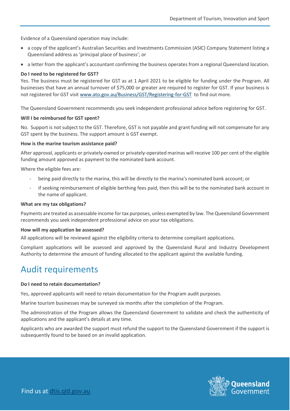Evidence of a Queensland operation may include:

- a copy of the applicant's Australian Securities and Investments Commission (ASIC) Company Statement listing a Queensland address as 'principal place of business'; or
- a letter from the applicant's accountant confirming the business operates from a regional Queensland location.

#### **Do I need to be registered for GST?**

Yes. The business must be registered for GST as at 1 April 2021 to be eligible for funding under the Program. All businesses that have an annual turnover of \$75,000 or greater are required to register for GST. If your business is not registered for GST visit [www.ato.gov.au/Business/GST/Registering-for-GST](http://www.ato.gov.au/Business/GST/Registering-for-GST) to find out more.

The Queensland Government recommends you seek independent professional advice before registering for GST.

#### **Will I be reimbursed for GST spent?**

No. Support is not subject to the GST. Therefore, GST is not payable and grant funding will not compensate for any GST spent by the business. The support amount is GST exempt.

#### **How is the marine tourism assistance paid?**

After approval, applicants or privately-owned or privately-operated marinas will receive 100 per cent of the eligible funding amount approved as payment to the nominated bank account.

Where the eligible fees are:

- being paid directly to the marina, this will be directly to the marina's nominated bank account; or
- if seeking reimbursement of eligible berthing fees paid, then this will be to the nominated bank account in the name of applicant.

#### **What are my tax obligations?**

Payments are treated as assessable income for tax purposes, unless exempted by law. The Queensland Government recommends you seek independent professional advice on your tax obligations.

#### **How will my application be assessed?**

All applications will be reviewed against the eligibility criteria to determine compliant applications.

Compliant applications will be assessed and approved by the Queensland Rural and Industry Development Authority to determine the amount of funding allocated to the applicant against the available funding.

### Audit requirements

#### **Do I need to retain documentation?**

Yes, approved applicants will need to retain documentation for the Program audit purposes.

Marine tourism businesses may be surveyed six months after the completion of the Program.

The administration of the Program allows the Queensland Government to validate and check the authenticity of applications and the applicant's details at any time.

Applicants who are awarded the support must refund the support to the Queensland Government if the support is subsequently found to be based on an invalid application.